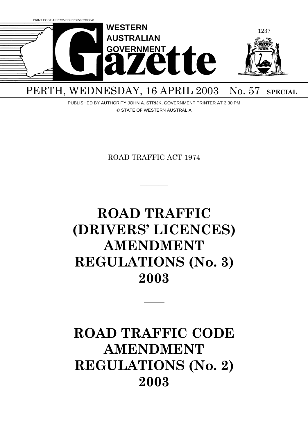

## PERTH, WEDNESDAY, 16 APRIL 2003 No. 57 SPECIAL

PUBLISHED BY AUTHORITY JOHN A. STRIJK, GOVERNMENT PRINTER AT 3.30 PM © STATE OF WESTERN AUSTRALIA

ROAD TRAFFIC ACT 1974

 $\overline{\phantom{a}}$ 

# **ROAD TRAFFIC (DRIVERS' LICENCES) AMENDMENT REGULATIONS (No. 3) 2003**

## **ROAD TRAFFIC CODE AMENDMENT REGULATIONS (No. 2) 2003**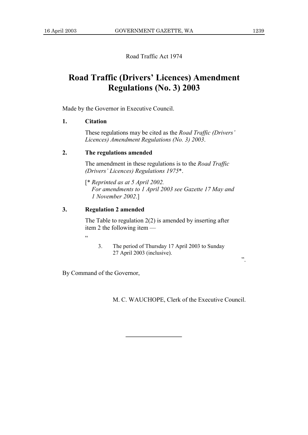Road Traffic Act 1974

### **Road Traffic (Drivers' Licences) Amendment Regulations (No. 3) 2003**

Made by the Governor in Executive Council.

#### **1. Citation**

These regulations may be cited as the *Road Traffic (Drivers' Licences) Amendment Regulations (No. 3) 2003*.

#### **2. The regulations amended**

The amendment in these regulations is to the *Road Traffic (Drivers' Licences) Regulations 1975*\*.

[\* *Reprinted as at 5 April 2002. For amendments to 1 April 2003 see Gazette 17 May and 1 November 2002*.]

#### **3. Regulation 2 amended**

The Table to regulation  $2(2)$  is amended by inserting after item 2 the following item —

.<br>"

3. The period of Thursday 17 April 2003 to Sunday 27 April 2003 (inclusive).

".

By Command of the Governor,

M. C. WAUCHOPE, Clerk of the Executive Council.